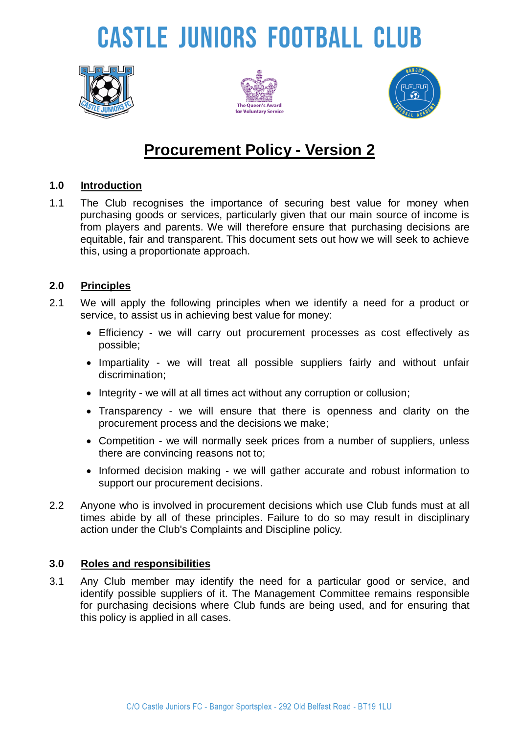# **CASTLE JUNIORS FOOTBALL CLUB**







### **Procurement Policy - Version 2**

#### **1.0 Introduction**

1.1 The Club recognises the importance of securing best value for money when purchasing goods or services, particularly given that our main source of income is from players and parents. We will therefore ensure that purchasing decisions are equitable, fair and transparent. This document sets out how we will seek to achieve this, using a proportionate approach.

#### **2.0 Principles**

- 2.1 We will apply the following principles when we identify a need for a product or service, to assist us in achieving best value for money:
	- Efficiency we will carry out procurement processes as cost effectively as possible;
	- Impartiality we will treat all possible suppliers fairly and without unfair discrimination;
	- Integrity we will at all times act without any corruption or collusion;
	- Transparency we will ensure that there is openness and clarity on the procurement process and the decisions we make;
	- Competition we will normally seek prices from a number of suppliers, unless there are convincing reasons not to;
	- Informed decision making we will gather accurate and robust information to support our procurement decisions.
- 2.2 Anyone who is involved in procurement decisions which use Club funds must at all times abide by all of these principles. Failure to do so may result in disciplinary action under the Club's Complaints and Discipline policy.

#### **3.0 Roles and responsibilities**

3.1 Any Club member may identify the need for a particular good or service, and identify possible suppliers of it. The Management Committee remains responsible for purchasing decisions where Club funds are being used, and for ensuring that this policy is applied in all cases.